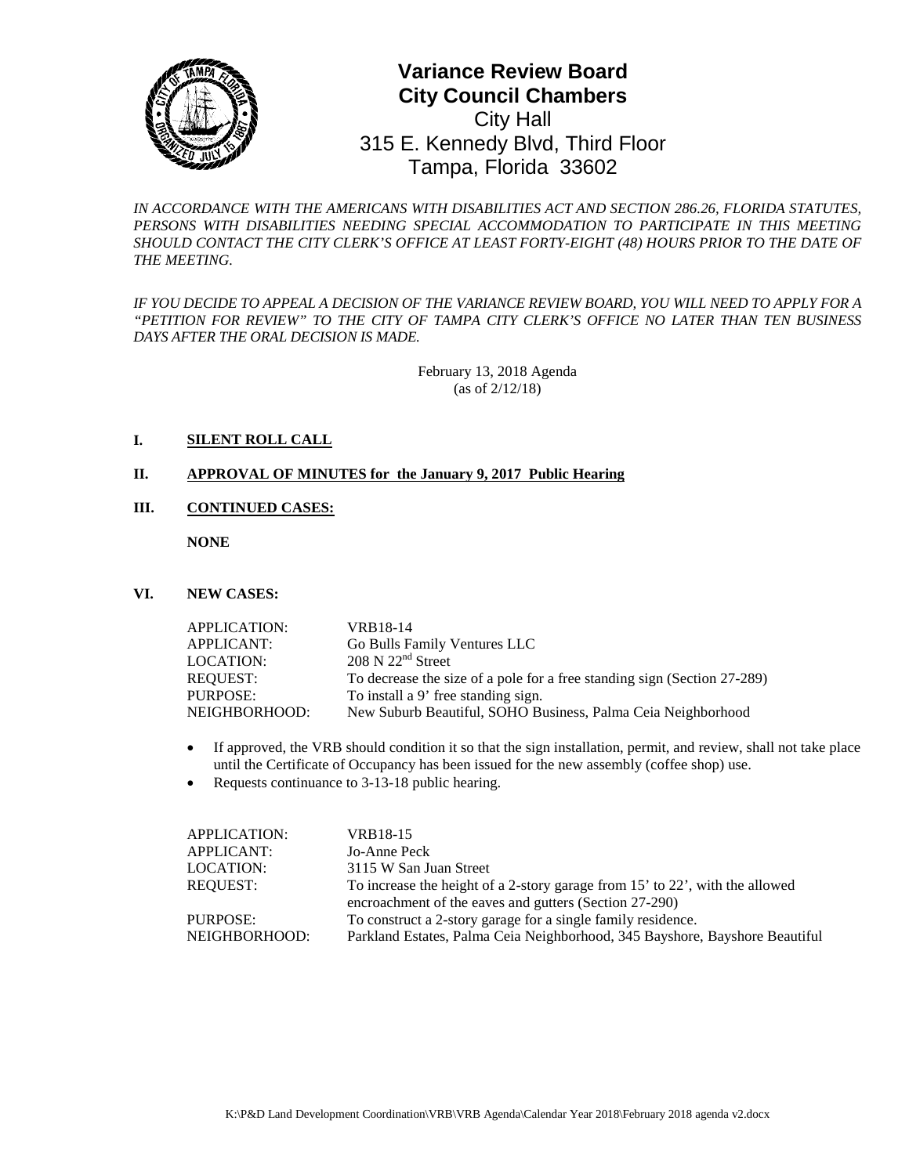

# **0** Tampa, Florida 33602**Variance Review Board City Council Chambers** City Hall 315 E. Kennedy Blvd, Third Floor

*IN ACCORDANCE WITH THE AMERICANS WITH DISABILITIES ACT AND SECTION 286.26, FLORIDA STATUTES,*  PERSONS WITH DISABILITIES NEEDING SPECIAL ACCOMMODATION TO PARTICIPATE IN THIS MEETING SHOULD CONTACT THE CITY CLERK'S OFFICE AT LEAST FORTY-EIGHT (48) HOURS PRIOR TO THE DATE OF *THE MEETING.*

*IF YOU DECIDE TO APPEAL A DECISION OF THE VARIANCE REVIEW BOARD, YOU WILL NEED TO APPLY FOR A "PETITION FOR REVIEW" TO THE CITY OF TAMPA CITY CLERK'S OFFICE NO LATER THAN TEN BUSINESS DAYS AFTER THE ORAL DECISION IS MADE.* 

> February 13, 2018 Agenda (as of 2/12/18)

### **I. SILENT ROLL CALL**

#### **II. APPROVAL OF MINUTES for the January 9, 2017 Public Hearing**

## **III. CONTINUED CASES:**

**NONE**

#### **VI. NEW CASES:**

| APPLICATION:  | VRB18-14                                                                 |
|---------------|--------------------------------------------------------------------------|
| APPLICANT:    | Go Bulls Family Ventures LLC                                             |
| LOCATION:     | $208 \text{ N } 22^{\text{nd}}$ Street                                   |
| REQUEST:      | To decrease the size of a pole for a free standing sign (Section 27-289) |
| PURPOSE:      | To install a 9' free standing sign.                                      |
| NEIGHBORHOOD: | New Suburb Beautiful, SOHO Business, Palma Ceia Neighborhood             |

- If approved, the VRB should condition it so that the sign installation, permit, and review, shall not take place until the Certificate of Occupancy has been issued for the new assembly (coffee shop) use.
- Requests continuance to 3-13-18 public hearing.

| VRB18-15                                                                     |
|------------------------------------------------------------------------------|
| Jo-Anne Peck                                                                 |
| 3115 W San Juan Street                                                       |
| To increase the height of a 2-story garage from 15' to 22', with the allowed |
| encroachment of the eaves and gutters (Section 27-290)                       |
| To construct a 2-story garage for a single family residence.                 |
| Parkland Estates, Palma Ceia Neighborhood, 345 Bayshore, Bayshore Beautiful  |
|                                                                              |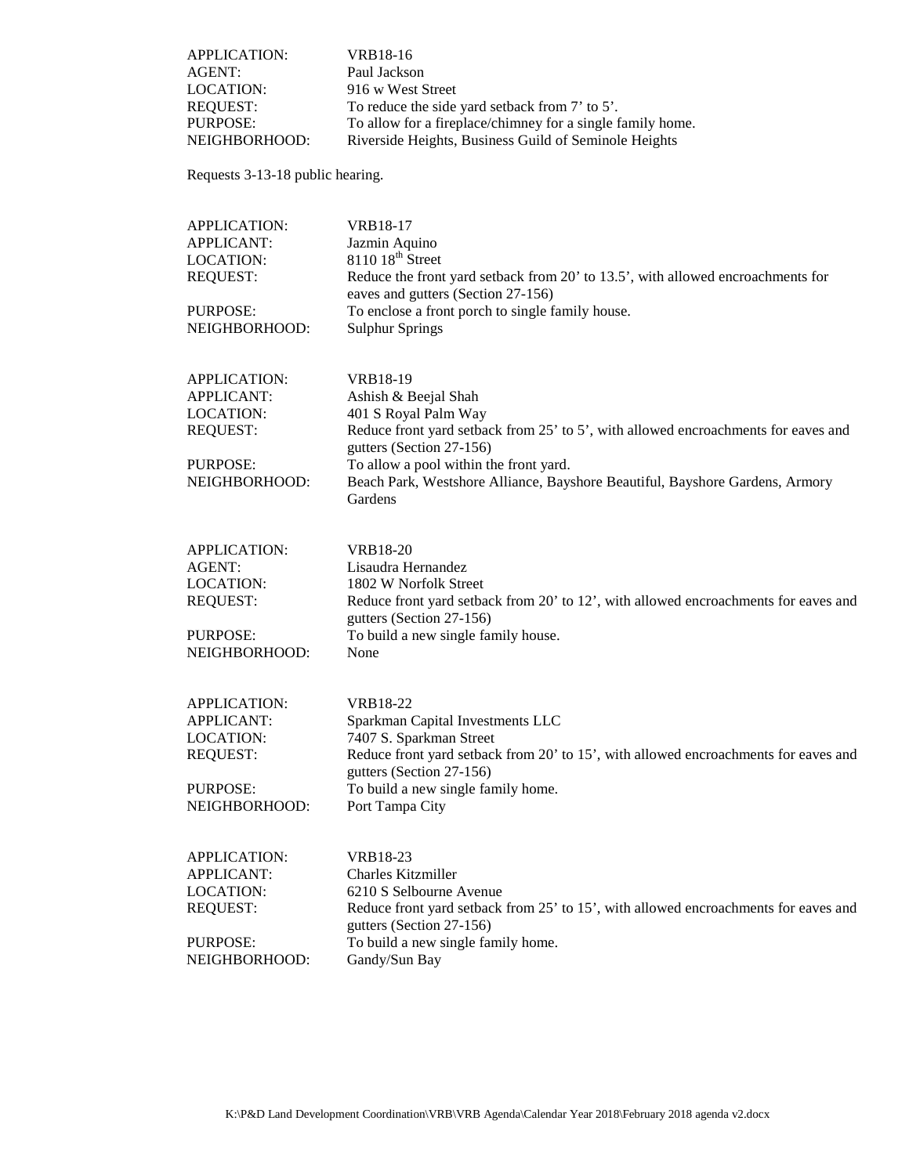| APPLICATION:<br>AGENT:<br><b>LOCATION:</b><br><b>REQUEST:</b><br>PURPOSE:<br>NEIGHBORHOOD:            | <b>VRB18-16</b><br>Paul Jackson<br>916 w West Street<br>To reduce the side yard setback from 7' to 5'.<br>To allow for a fireplace/chimney for a single family home.<br>Riverside Heights, Business Guild of Seminole Heights                                                                                   |
|-------------------------------------------------------------------------------------------------------|-----------------------------------------------------------------------------------------------------------------------------------------------------------------------------------------------------------------------------------------------------------------------------------------------------------------|
| Requests 3-13-18 public hearing.                                                                      |                                                                                                                                                                                                                                                                                                                 |
| <b>APPLICATION:</b><br><b>APPLICANT:</b><br>LOCATION:<br><b>REQUEST:</b><br>PURPOSE:<br>NEIGHBORHOOD: | <b>VRB18-17</b><br>Jazmin Aquino<br>$811018$ <sup>th</sup> Street<br>Reduce the front yard setback from 20' to 13.5', with allowed encroachments for<br>eaves and gutters (Section 27-156)<br>To enclose a front porch to single family house.<br><b>Sulphur Springs</b>                                        |
| APPLICATION:<br><b>APPLICANT:</b><br><b>LOCATION:</b><br><b>REQUEST:</b><br>PURPOSE:<br>NEIGHBORHOOD: | VRB18-19<br>Ashish & Beejal Shah<br>401 S Royal Palm Way<br>Reduce front yard setback from 25' to 5', with allowed encroachments for eaves and<br>gutters (Section 27-156)<br>To allow a pool within the front yard.<br>Beach Park, Westshore Alliance, Bayshore Beautiful, Bayshore Gardens, Armory<br>Gardens |
| APPLICATION:<br><b>AGENT:</b><br>LOCATION:<br><b>REQUEST:</b><br>PURPOSE:<br>NEIGHBORHOOD:            | <b>VRB18-20</b><br>Lisaudra Hernandez<br>1802 W Norfolk Street<br>Reduce front yard setback from 20' to 12', with allowed encroachments for eaves and<br>gutters (Section 27-156)<br>To build a new single family house.<br>None                                                                                |
| APPLICATION:<br><b>APPLICANT:</b><br><b>LOCATION:</b><br><b>REQUEST:</b><br>PURPOSE:<br>NEIGHBORHOOD: | <b>VRB18-22</b><br>Sparkman Capital Investments LLC<br>7407 S. Sparkman Street<br>Reduce front yard setback from 20' to 15', with allowed encroachments for eaves and<br>gutters (Section 27-156)<br>To build a new single family home.<br>Port Tampa City                                                      |
| APPLICATION:<br><b>APPLICANT:</b><br><b>LOCATION:</b><br><b>REQUEST:</b><br>PURPOSE:<br>NEIGHBORHOOD: | VRB18-23<br>Charles Kitzmiller<br>6210 S Selbourne Avenue<br>Reduce front yard setback from 25' to 15', with allowed encroachments for eaves and<br>gutters (Section 27-156)<br>To build a new single family home.<br>Gandy/Sun Bay                                                                             |